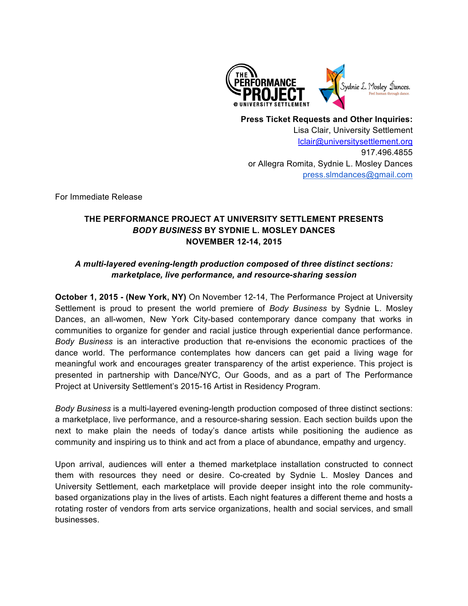

**Press Ticket Requests and Other Inquiries:** Lisa Clair, University Settlement lclair@universitysettlement.org 917.496.4855 or Allegra Romita, Sydnie L. Mosley Dances press.slmdances@gmail.com

For Immediate Release

# **THE PERFORMANCE PROJECT AT UNIVERSITY SETTLEMENT PRESENTS**  *BODY BUSINESS* **BY SYDNIE L. MOSLEY DANCES NOVEMBER 12-14, 2015**

# *A multi-layered evening-length production composed of three distinct sections: marketplace, live performance, and resource-sharing session*

**October 1, 2015 - (New York, NY)** On November 12-14, The Performance Project at University Settlement is proud to present the world premiere of *Body Business* by Sydnie L. Mosley Dances, an all-women, New York City-based contemporary dance company that works in communities to organize for gender and racial justice through experiential dance performance. *Body Business* is an interactive production that re-envisions the economic practices of the dance world. The performance contemplates how dancers can get paid a living wage for meaningful work and encourages greater transparency of the artist experience. This project is presented in partnership with Dance/NYC, Our Goods, and as a part of The Performance Project at University Settlement's 2015-16 Artist in Residency Program.

*Body Business* is a multi-layered evening-length production composed of three distinct sections: a marketplace, live performance, and a resource-sharing session. Each section builds upon the next to make plain the needs of today's dance artists while positioning the audience as community and inspiring us to think and act from a place of abundance, empathy and urgency.

Upon arrival, audiences will enter a themed marketplace installation constructed to connect them with resources they need or desire. Co-created by Sydnie L. Mosley Dances and University Settlement, each marketplace will provide deeper insight into the role communitybased organizations play in the lives of artists. Each night features a different theme and hosts a rotating roster of vendors from arts service organizations, health and social services, and small businesses.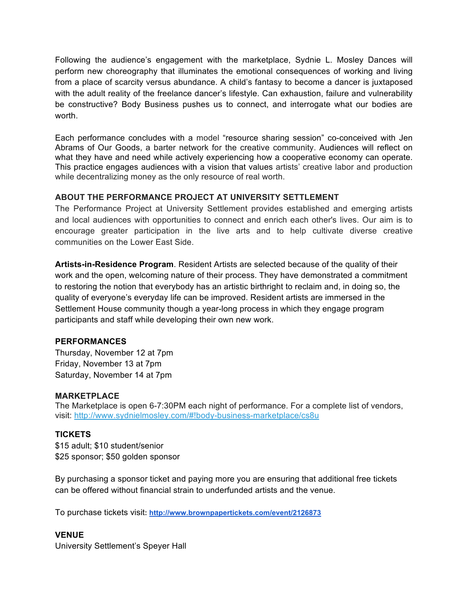Following the audience's engagement with the marketplace, Sydnie L. Mosley Dances will perform new choreography that illuminates the emotional consequences of working and living from a place of scarcity versus abundance. A child's fantasy to become a dancer is juxtaposed with the adult reality of the freelance dancer's lifestyle. Can exhaustion, failure and vulnerability be constructive? Body Business pushes us to connect, and interrogate what our bodies are worth.

Each performance concludes with a model "resource sharing session" co-conceived with Jen Abrams of Our Goods, a barter network for the creative community. Audiences will reflect on what they have and need while actively experiencing how a cooperative economy can operate. This practice engages audiences with a vision that values artists' creative labor and production while decentralizing money as the only resource of real worth.

## **ABOUT THE PERFORMANCE PROJECT AT UNIVERSITY SETTLEMENT**

The Performance Project at University Settlement provides established and emerging artists and local audiences with opportunities to connect and enrich each other's lives. Our aim is to encourage greater participation in the live arts and to help cultivate diverse creative communities on the Lower East Side.

**Artists-in-Residence Program**. Resident Artists are selected because of the quality of their work and the open, welcoming nature of their process. They have demonstrated a commitment to restoring the notion that everybody has an artistic birthright to reclaim and, in doing so, the quality of everyone's everyday life can be improved. Resident artists are immersed in the Settlement House community though a year-long process in which they engage program participants and staff while developing their own new work.

#### **PERFORMANCES**

Thursday, November 12 at 7pm Friday, November 13 at 7pm Saturday, November 14 at 7pm

#### **MARKETPLACE**

The Marketplace is open 6-7:30PM each night of performance. For a complete list of vendors, visit: http://www.sydnielmosley.com/#!body-business-marketplace/cs8u

## **TICKETS**

\$15 adult; \$10 student/senior \$25 sponsor; \$50 golden sponsor

By purchasing a sponsor ticket and paying more you are ensuring that additional free tickets can be offered without financial strain to underfunded artists and the venue.

To purchase tickets visit**: http://www.brownpapertickets.com/event/2126873**

## **VENUE**

University Settlement's Speyer Hall